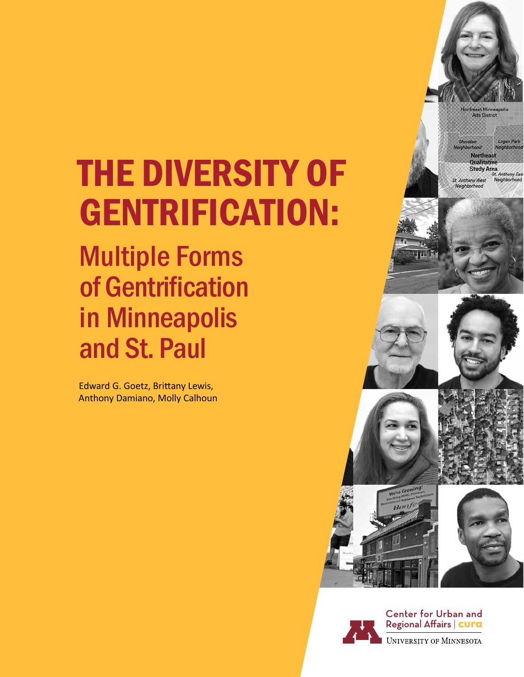# THE DIVERSITY OF GENTRIFICATION:

Multiple Forms of Gentrification in Minneapolis and St. Paul

Edward G. Goetz, Brittany Lewis, Anthony Damiano, Molly Calhoun



**North** 

**Arts District** 







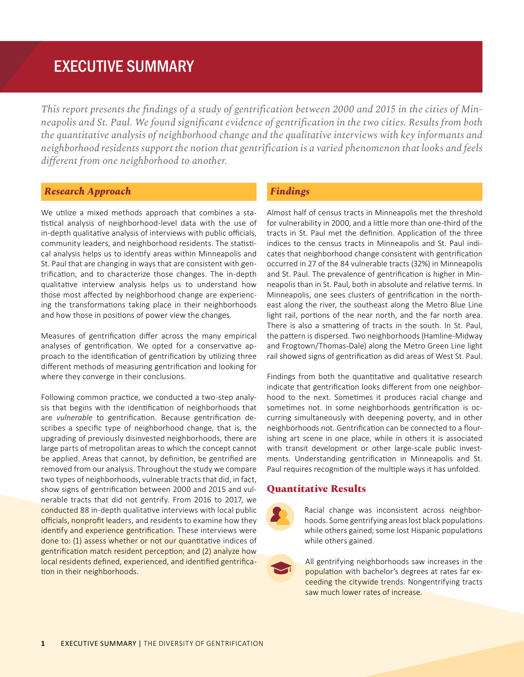# EXECUTIVE SUMMARY

*This report presents the findings of a study of gentrification between 2000 and 2015 in the cities of Minneapolis and St. Paul. We found significant evidence of gentrification in the two cities. Results from both the quantitative analysis of neighborhood change and the qualitative interviews with key informants and neighborhood residents support the notion that gentrification is a varied phenomenon that looks and feels different from one neighborhood to another.*

#### *Research Approach*

We utilize a mixed methods approach that combines a statistical analysis of neighborhood-level data with the use of in-depth qualitative analysis of interviews with public officials, community leaders, and neighborhood residents. The statistical analysis helps us to identify areas within Minneapolis and St. Paul that are changing in ways that are consistent with gentrification, and to characterize those changes. The in-depth qualitative interview analysis helps us to understand how those most affected by neighborhood change are experiencing the transformations taking place in their neighborhoods and how those in positions of power view the changes.

Measures of gentrification differ across the many empirical analyses of gentrification. We opted for a conservative approach to the identification of gentrification by utilizing three different methods of measuring gentrification and looking for where they converge in their conclusions.

Following common practice, we conducted a two-step analysis that begins with the identification of neighborhoods that are *vulnerable* to gentrification. Because gentrification describes a specific type of neighborhood change, that is, the upgrading of previously disinvested neighborhoods, there are large parts of metropolitan areas to which the concept cannot be applied. Areas that cannot, by definition, be gentrified are removed from our analysis. Throughout the study we compare two types of neighborhoods, vulnerable tracts that did, in fact, show signs of gentrification between 2000 and 2015 and vulnerable tracts that did not gentrify. From 2016 to 2017, we conducted 88 in-depth qualitative interviews with local public officials, nonprofit leaders, and residents to examine how they identify and experience gentrification. These interviews were done to: (1) assess whether or not our quantitative indices of gentrification match resident perception; and (2) analyze how local residents defined, experienced, and identified gentrification in their neighborhoods.

## *Findings*

Almost half of census tracts in Minneapolis met the threshold for vulnerability in 2000, and a little more than one-third of the tracts in St. Paul met the definition. Application of the three indices to the census tracts in Minneapolis and St. Paul indicates that neighborhood change consistent with gentrification occurred in 27 of the 84 vulnerable tracts (32%) in Minneapolis and St. Paul. The prevalence of gentrification is higher in Minneapolis than in St. Paul, both in absolute and relative terms. In Minneapolis, one sees clusters of gentrification in the northeast along the river, the southeast along the Metro Blue Line light rail, portions of the near north, and the far north area. There is also a smattering of tracts in the south. In St. Paul, the pattern is dispersed. Two neighborhoods (Hamline-Midway and Frogtown/Thomas-Dale) along the Metro Green Line light rail showed signs of gentrification as did areas of West St. Paul.

Findings from both the quantitative and qualitative research indicate that gentrification looks different from one neighborhood to the next. Sometimes it produces racial change and sometimes not. In some neighborhoods gentrification is occurring simultaneously with deepening poverty, and in other neighborhoods not. Gentrification can be connected to a flourishing art scene in one place, while in others it is associated with transit development or other large-scale public investments. Understanding gentrification in Minneapolis and St. Paul requires recognition of the multiple ways it has unfolded.

#### **Quantitative Results**



Racial change was inconsistent across neighborhoods. Some gentrifying areas lost black populations while others gained; some lost Hispanic populations while others gained.

All gentrifying neighborhoods saw increases in the population with bachelor's degrees at rates far exceeding the citywide trends. Nongentrifying tracts saw much lower rates of increase.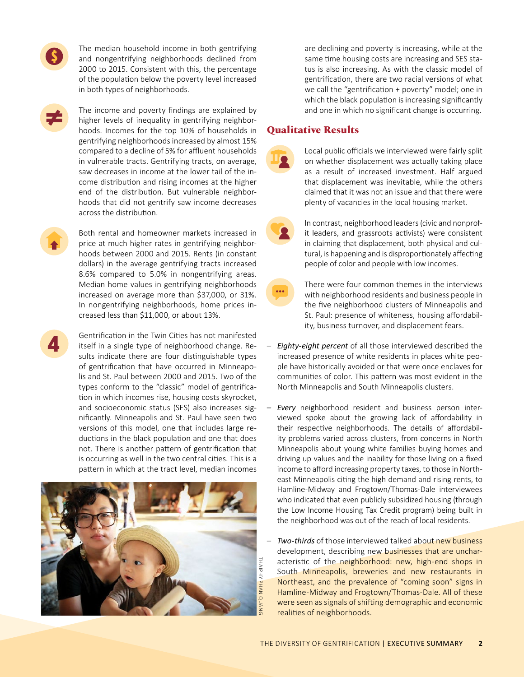The median household income in both gentrifying and nongentrifying neighborhoods declined from 2000 to 2015. Consistent with this, the percentage of the population below the poverty level increased in both types of neighborhoods.

The income and poverty findings are explained by higher levels of inequality in gentrifying neighborhoods. Incomes for the top 10% of households in gentrifying neighborhoods increased by almost 15% compared to a decline of 5% for affluent households in vulnerable tracts. Gentrifying tracts, on average, saw decreases in income at the lower tail of the income distribution and rising incomes at the higher end of the distribution. But vulnerable neighborhoods that did not gentrify saw income decreases across the distribution.

Both rental and homeowner markets increased in price at much higher rates in gentrifying neighborhoods between 2000 and 2015. Rents (in constant dollars) in the average gentrifying tracts increased 8.6% compared to 5.0% in nongentrifying areas. Median home values in gentrifying neighborhoods increased on average more than \$37,000, or 31%. In nongentrifying neighborhoods, home prices increased less than \$11,000, or about 13%.

Gentrification in the Twin Cities has not manifested itself in a single type of neighborhood change. Results indicate there are four distinguishable types of gentrification that have occurred in Minneapolis and St. Paul between 2000 and 2015. Two of the types conform to the "classic" model of gentrification in which incomes rise, housing costs skyrocket, and socioeconomic status (SES) also increases significantly. Minneapolis and St. Paul have seen two versions of this model, one that includes large reductions in the black population and one that does not. There is another pattern of gentrification that is occurring as well in the two central cities. This is a pattern in which at the tract level, median incomes



are declining and poverty is increasing, while at the same time housing costs are increasing and SES status is also increasing. As with the classic model of gentrification, there are two racial versions of what we call the "gentrification + poverty" model; one in which the black population is increasing significantly and one in which no significant change is occurring.

### **Qualitative Results**

Local public officials we interviewed were fairly split on whether displacement was actually taking place as a result of increased investment. Half argued that displacement was inevitable, while the others claimed that it was not an issue and that there were plenty of vacancies in the local housing market.

In contrast, neighborhood leaders (civic and nonprofit leaders, and grassroots activists) were consistent in claiming that displacement, both physical and cultural, is happening and is disproportionately affecting people of color and people with low incomes.



– *Eighty-eight percent* of all those interviewed described the increased presence of white residents in places white people have historically avoided or that were once enclaves for communities of color. This pattern was most evident in the

North Minneapolis and South Minneapolis clusters.

- *Every* neighborhood resident and business person interviewed spoke about the growing lack of affordability in their respective neighborhoods. The details of affordability problems varied across clusters, from concerns in North Minneapolis about young white families buying homes and driving up values and the inability for those living on a fixed income to afford increasing property taxes, to those in Northeast Minneapolis citing the high demand and rising rents, to Hamline-Midway and Frogtown/Thomas-Dale interviewees who indicated that even publicly subsidized housing (through the Low Income Housing Tax Credit program) being built in the neighborhood was out of the reach of local residents.
- *Two-thirds* of those interviewed talked about new business development, describing new businesses that are uncharacteristic of the neighborhood: new, high-end shops in South Minneapolis, breweries and new restaurants in Northeast, and the prevalence of "coming soon" signs in Hamline-Midway and Frogtown/Thomas-Dale. All of these were seen as signals of shifting demographic and economic realities of neighborhoods.